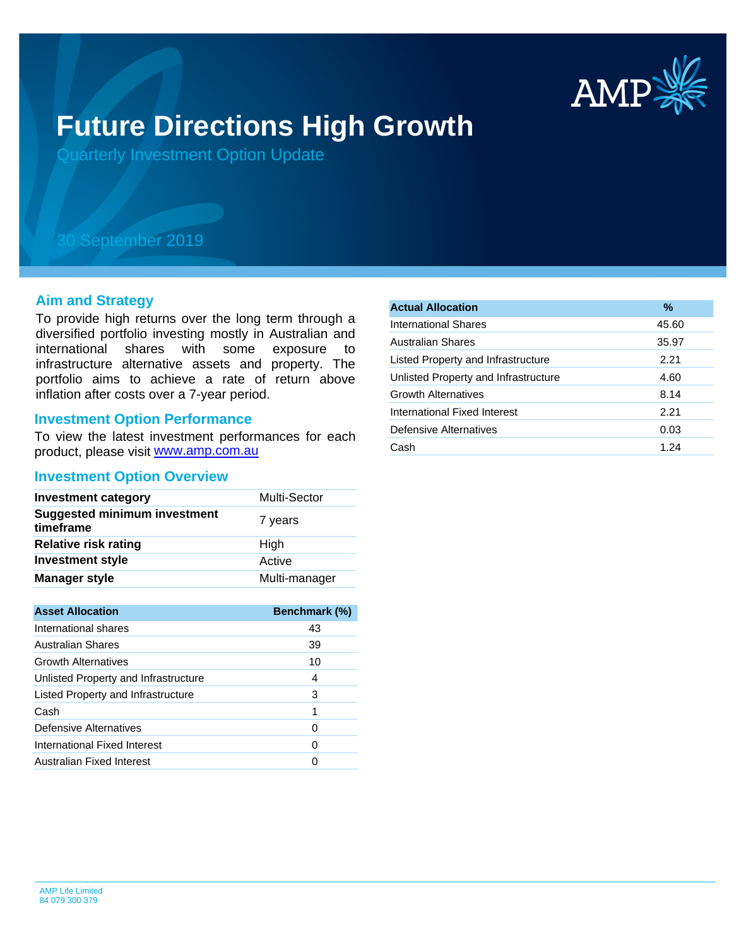

# **Future Directions High Growth**

Quarterly Investment Option Update

## 30 September 2019

#### **Aim and Strategy**

To provide high returns over the long term through a diversified portfolio investing mostly in Australian and international shares with some exposure to infrastructure alternative assets and property. The portfolio aims to achieve a rate of return above inflation after costs over a 7-year period.

#### **Investment Option Performance**

product, please visit [www.amp.com.au](https://www.amp.com.au) To view the latest investment performances for each

#### **Investment Option Overview**

| <b>Investment category</b>                       | Multi-Sector  |
|--------------------------------------------------|---------------|
| <b>Suggested minimum investment</b><br>timeframe | 7 years       |
| <b>Relative risk rating</b>                      | High          |
| <b>Investment style</b>                          | Active        |
| <b>Manager style</b>                             | Multi-manager |

| <b>Asset Allocation</b>              | Benchmark (%) |
|--------------------------------------|---------------|
| International shares                 | 43            |
| Australian Shares                    | 39            |
| <b>Growth Alternatives</b>           | 10            |
| Unlisted Property and Infrastructure | 4             |
| Listed Property and Infrastructure   | 3             |
| Cash                                 | 1             |
| Defensive Alternatives               | O             |
| International Fixed Interest         | O             |
| Australian Fixed Interest            |               |

| <b>Actual Allocation</b>             | $\frac{9}{6}$ |
|--------------------------------------|---------------|
| International Shares                 | 45.60         |
| <b>Australian Shares</b>             | 35.97         |
| Listed Property and Infrastructure   | 2.21          |
| Unlisted Property and Infrastructure | 4.60          |
| <b>Growth Alternatives</b>           | 8.14          |
| International Fixed Interest         | 2.21          |
| Defensive Alternatives               | 0.03          |
| Cash                                 | 1.24          |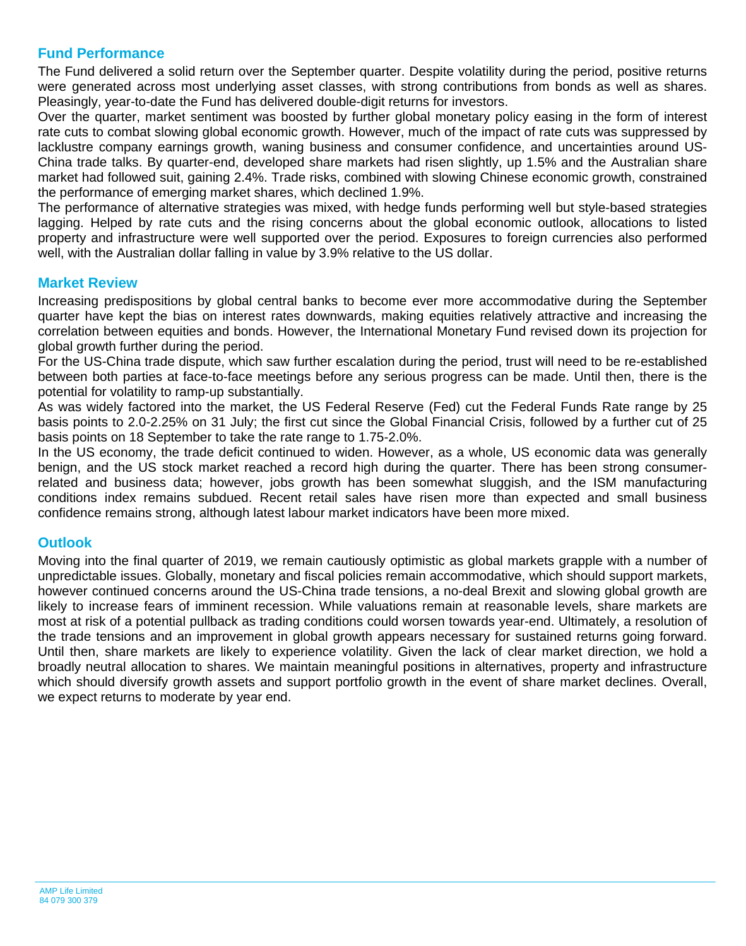### **Fund Performance**

The Fund delivered a solid return over the September quarter. Despite volatility during the period, positive returns were generated across most underlying asset classes, with strong contributions from bonds as well as shares. Pleasingly, year-to-date the Fund has delivered double-digit returns for investors.

Over the quarter, market sentiment was boosted by further global monetary policy easing in the form of interest rate cuts to combat slowing global economic growth. However, much of the impact of rate cuts was suppressed by lacklustre company earnings growth, waning business and consumer confidence, and uncertainties around US-China trade talks. By quarter-end, developed share markets had risen slightly, up 1.5% and the Australian share market had followed suit, gaining 2.4%. Trade risks, combined with slowing Chinese economic growth, constrained the performance of emerging market shares, which declined 1.9%.

The performance of alternative strategies was mixed, with hedge funds performing well but style-based strategies lagging. Helped by rate cuts and the rising concerns about the global economic outlook, allocations to listed property and infrastructure were well supported over the period. Exposures to foreign currencies also performed well, with the Australian dollar falling in value by 3.9% relative to the US dollar.

#### **Market Review**

Increasing predispositions by global central banks to become ever more accommodative during the September quarter have kept the bias on interest rates downwards, making equities relatively attractive and increasing the correlation between equities and bonds. However, the International Monetary Fund revised down its projection for global growth further during the period.

For the US-China trade dispute, which saw further escalation during the period, trust will need to be re-established between both parties at face-to-face meetings before any serious progress can be made. Until then, there is the potential for volatility to ramp-up substantially.

As was widely factored into the market, the US Federal Reserve (Fed) cut the Federal Funds Rate range by 25 basis points to 2.0-2.25% on 31 July; the first cut since the Global Financial Crisis, followed by a further cut of 25 basis points on 18 September to take the rate range to 1.75-2.0%.

In the US economy, the trade deficit continued to widen. However, as a whole, US economic data was generally benign, and the US stock market reached a record high during the quarter. There has been strong consumerrelated and business data; however, jobs growth has been somewhat sluggish, and the ISM manufacturing conditions index remains subdued. Recent retail sales have risen more than expected and small business confidence remains strong, although latest labour market indicators have been more mixed.

#### **Outlook**

Moving into the final quarter of 2019, we remain cautiously optimistic as global markets grapple with a number of unpredictable issues. Globally, monetary and fiscal policies remain accommodative, which should support markets, however continued concerns around the US-China trade tensions, a no-deal Brexit and slowing global growth are likely to increase fears of imminent recession. While valuations remain at reasonable levels, share markets are most at risk of a potential pullback as trading conditions could worsen towards year-end. Ultimately, a resolution of the trade tensions and an improvement in global growth appears necessary for sustained returns going forward. Until then, share markets are likely to experience volatility. Given the lack of clear market direction, we hold a broadly neutral allocation to shares. We maintain meaningful positions in alternatives, property and infrastructure which should diversify growth assets and support portfolio growth in the event of share market declines. Overall, we expect returns to moderate by year end.